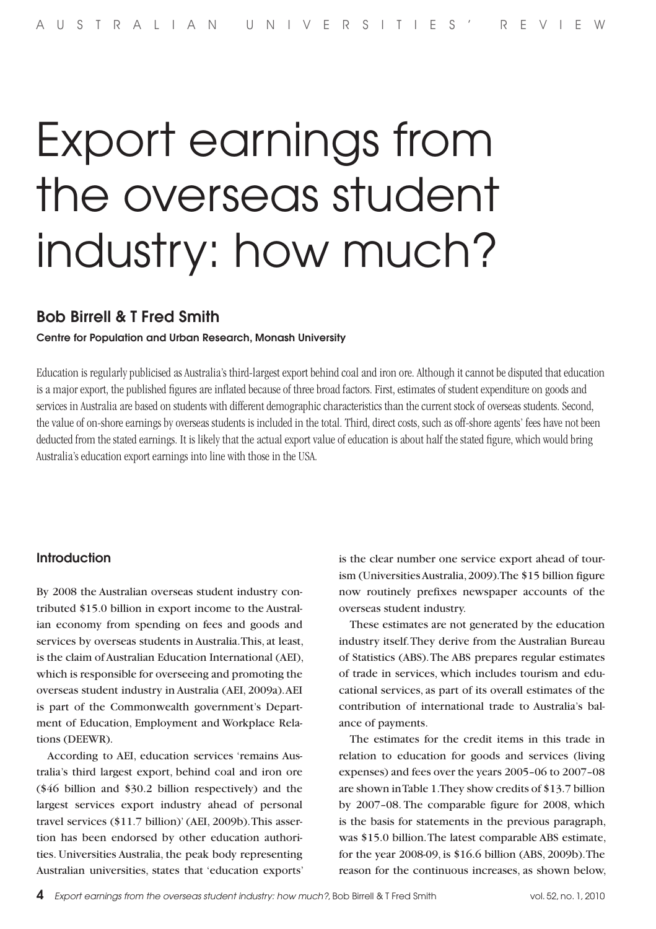# Export earnings from the overseas student industry: how much?

## Bob Birrell & T Fred Smith

#### Centre for Population and Urban Research, Monash University

Education is regularly publicised as Australia's third-largest export behind coal and iron ore. Although it cannot be disputed that education is a major export, the published figures are inflated because of three broad factors. First, estimates of student expenditure on goods and services in Australia are based on students with different demographic characteristics than the current stock of overseas students. Second, the value of on-shore earnings by overseas students is included in the total. Third, direct costs, such as off-shore agents' fees have not been deducted from the stated earnings. It is likely that the actual export value of education is about half the stated figure, which would bring Australia's education export earnings into line with those in the USA.

#### Introduction

By 2008 the Australian overseas student industry contributed \$15.0 billion in export income to the Australian economy from spending on fees and goods and services by overseas students in Australia. This, at least, is the claim of Australian Education International (AEI), which is responsible for overseeing and promoting the overseas student industry in Australia (AEI, 2009a). AEI is part of the Commonwealth government's Department of Education, Employment and Workplace Relations (DEEWR).

According to AEI, education services 'remains Australia's third largest export, behind coal and iron ore (\$46 billion and \$30.2 billion respectively) and the largest services export industry ahead of personal travel services (\$11.7 billion)' (AEI, 2009b). This assertion has been endorsed by other education authorities. Universities Australia, the peak body representing Australian universities, states that 'education exports'

is the clear number one service export ahead of tourism (Universities Australia, 2009). The \$15 billion figure now routinely prefixes newspaper accounts of the overseas student industry.

These estimates are not generated by the education industry itself. They derive from the Australian Bureau of Statistics (ABS). The ABS prepares regular estimates of trade in services, which includes tourism and educational services, as part of its overall estimates of the contribution of international trade to Australia's balance of payments.

The estimates for the credit items in this trade in relation to education for goods and services (living expenses) and fees over the years 2005–06 to 2007–08 are shown in Table 1. They show credits of \$13.7 billion by 2007–08. The comparable figure for 2008, which is the basis for statements in the previous paragraph, was \$15.0 billion. The latest comparable ABS estimate, for the year 2008-09, is \$16.6 billion (ABS, 2009b). The reason for the continuous increases, as shown below,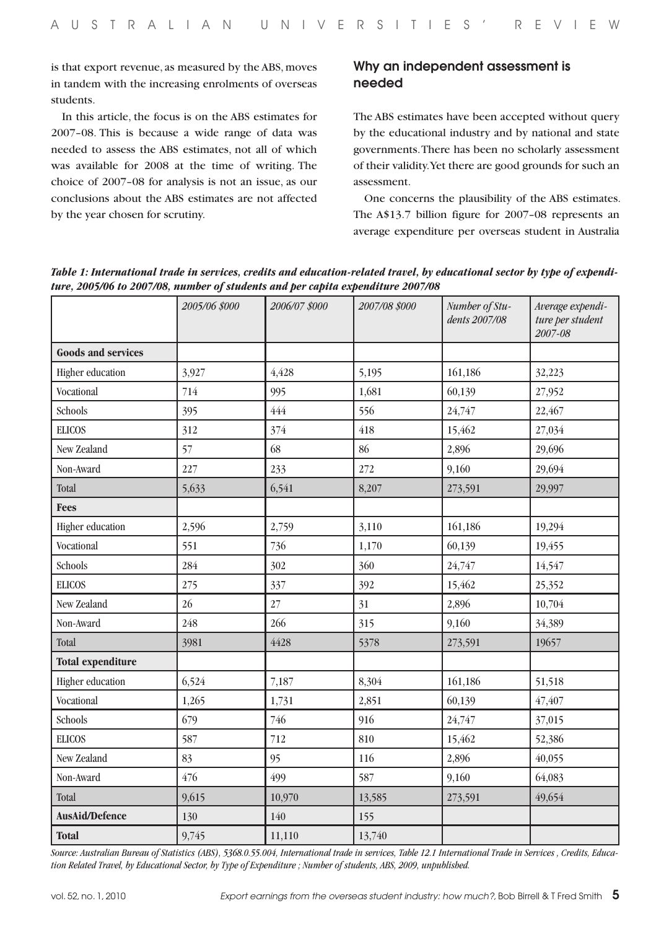is that export revenue, as measured by the ABS, moves in tandem with the increasing enrolments of overseas students.

In this article, the focus is on the ABS estimates for 2007–08. This is because a wide range of data was needed to assess the ABS estimates, not all of which was available for 2008 at the time of writing. The choice of 2007–08 for analysis is not an issue, as our conclusions about the ABS estimates are not affected by the year chosen for scrutiny.

## Why an independent assessment is needed

The ABS estimates have been accepted without query by the educational industry and by national and state governments. There has been no scholarly assessment of their validity. Yet there are good grounds for such an assessment.

One concerns the plausibility of the ABS estimates. The A\$13.7 billion figure for 2007–08 represents an average expenditure per overseas student in Australia

*Table 1: International trade in services, credits and education-related travel, by educational sector by type of expenditure, 2005/06 to 2007/08, number of students and per capita expenditure 2007/08*

|                           | 2005/06 \$000 | 2006/07 \$000 | 2007/08 \$000 | Number of Stu-<br>dents 2007/08 | Average expendi-<br>ture per student<br>2007-08 |
|---------------------------|---------------|---------------|---------------|---------------------------------|-------------------------------------------------|
| <b>Goods and services</b> |               |               |               |                                 |                                                 |
| Higher education          | 3,927         | 4,428         | 5,195         | 161,186                         | 32,223                                          |
| Vocational                | 714           | 995           | 1,681         | 60,139                          | 27,952                                          |
| Schools                   | 395           | 444           | 556           | 24,747                          | 22,467                                          |
| <b>ELICOS</b>             | 312           | 374           | 418           | 15,462                          | 27,034                                          |
| New Zealand               | 57            | 68            | 86            | 2,896                           | 29,696                                          |
| Non-Award                 | 227           | 233           | 272           | 9,160                           | 29,694                                          |
| Total                     | 5,633         | 6,541         | 8,207         | 273,591                         | 29,997                                          |
| <b>Fees</b>               |               |               |               |                                 |                                                 |
| Higher education          | 2,596         | 2,759         | 3,110         | 161,186                         | 19,294                                          |
| Vocational                | 551           | 736           | 1,170         | 60,139                          | 19,455                                          |
| Schools                   | 284           | 302           | 360           | 24,747                          | 14,547                                          |
| <b>ELICOS</b>             | 275           | 337           | 392           | 15,462                          | 25,352                                          |
| New Zealand               | 26            | $27\,$        | 31            | 2,896                           | 10,704                                          |
| Non-Award                 | 248           | 266           | 315           | 9,160                           | 34,389                                          |
| Total                     | 3981          | 4428          | 5378          | 273,591                         | 19657                                           |
| <b>Total expenditure</b>  |               |               |               |                                 |                                                 |
| Higher education          | 6,524         | 7,187         | 8,304         | 161,186                         | 51,518                                          |
| Vocational                | 1,265         | 1,731         | 2,851         | 60,139                          | 47,407                                          |
| Schools                   | 679           | 746           | 916           | 24,747                          | 37,015                                          |
| <b>ELICOS</b>             | 587           | 712           | 810           | 15,462                          | 52,386                                          |
| New Zealand               | 83            | 95            | 116           | 2,896                           | 40,055                                          |
| Non-Award                 | 476           | 499           | 587           | 9,160                           | 64,083                                          |
| Total                     | 9,615         | 10,970        | 13,585        | 273,591                         | 49,654                                          |
| <b>AusAid/Defence</b>     | 130           | 140           | 155           |                                 |                                                 |
| <b>Total</b>              | 9,745         | 11,110        | 13,740        |                                 |                                                 |

*Source: Australian Bureau of Statistics (ABS), 5368.0.55.004, International trade in services, Table 12.1 International Trade in Services , Credits, Education Related Travel, by Educational Sector, by Type of Expenditure ; Number of students, ABS, 2009, unpublished.*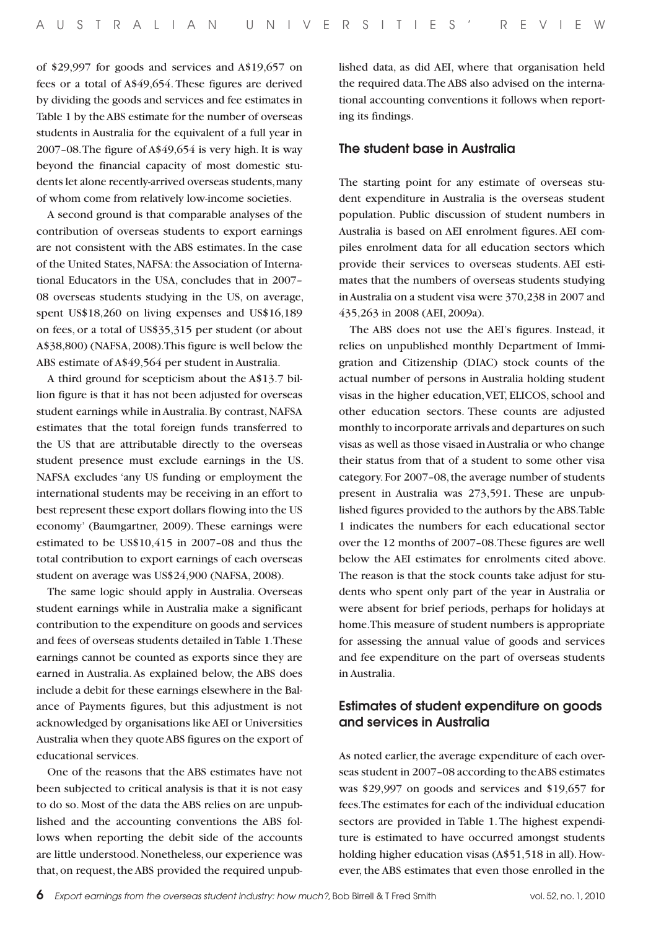of \$29,997 for goods and services and A\$19,657 on fees or a total of A\$49,654. These figures are derived by dividing the goods and services and fee estimates in Table 1 by the ABS estimate for the number of overseas students in Australia for the equivalent of a full year in 2007–08. The figure of A\$49,654 is very high. It is way beyond the financial capacity of most domestic students let alone recently-arrived overseas students, many of whom come from relatively low-income societies.

A second ground is that comparable analyses of the contribution of overseas students to export earnings are not consistent with the ABS estimates. In the case of the United States, NAFSA: the Association of International Educators in the USA, concludes that in 2007– 08 overseas students studying in the US, on average, spent US\$18,260 on living expenses and US\$16,189 on fees, or a total of US\$35,315 per student (or about A\$38,800) (NAFSA, 2008). This figure is well below the ABS estimate of A\$49,564 per student in Australia.

A third ground for scepticism about the A\$13.7 billion figure is that it has not been adjusted for overseas student earnings while in Australia. By contrast, NAFSA estimates that the total foreign funds transferred to the US that are attributable directly to the overseas student presence must exclude earnings in the US. NAFSA excludes 'any US funding or employment the international students may be receiving in an effort to best represent these export dollars flowing into the US economy' (Baumgartner, 2009). These earnings were estimated to be US\$10,415 in 2007–08 and thus the total contribution to export earnings of each overseas student on average was US\$24,900 (NAFSA, 2008).

The same logic should apply in Australia. Overseas student earnings while in Australia make a significant contribution to the expenditure on goods and services and fees of overseas students detailed in Table 1. These earnings cannot be counted as exports since they are earned in Australia. As explained below, the ABS does include a debit for these earnings elsewhere in the Balance of Payments figures, but this adjustment is not acknowledged by organisations like AEI or Universities Australia when they quote ABS figures on the export of educational services.

One of the reasons that the ABS estimates have not been subjected to critical analysis is that it is not easy to do so. Most of the data the ABS relies on are unpublished and the accounting conventions the ABS follows when reporting the debit side of the accounts are little understood. Nonetheless, our experience was that, on request, the ABS provided the required unpublished data, as did AEI, where that organisation held the required data. The ABS also advised on the international accounting conventions it follows when reporting its findings.

#### The student base in Australia

The starting point for any estimate of overseas student expenditure in Australia is the overseas student population. Public discussion of student numbers in Australia is based on AEI enrolment figures. AEI compiles enrolment data for all education sectors which provide their services to overseas students. AEI estimates that the numbers of overseas students studying in Australia on a student visa were 370,238 in 2007 and 435,263 in 2008 (AEI, 2009a).

The ABS does not use the AEI's figures. Instead, it relies on unpublished monthly Department of Immigration and Citizenship (DIAC) stock counts of the actual number of persons in Australia holding student visas in the higher education, VET, ELICOS, school and other education sectors. These counts are adjusted monthly to incorporate arrivals and departures on such visas as well as those visaed in Australia or who change their status from that of a student to some other visa category. For 2007–08, the average number of students present in Australia was 273,591. These are unpublished figures provided to the authors by the ABS. Table 1 indicates the numbers for each educational sector over the 12 months of 2007–08. These figures are well below the AEI estimates for enrolments cited above. The reason is that the stock counts take adjust for students who spent only part of the year in Australia or were absent for brief periods, perhaps for holidays at home. This measure of student numbers is appropriate for assessing the annual value of goods and services and fee expenditure on the part of overseas students in Australia.

## Estimates of student expenditure on goods and services in Australia

As noted earlier, the average expenditure of each overseas student in 2007–08 according to the ABS estimates was \$29,997 on goods and services and \$19,657 for fees. The estimates for each of the individual education sectors are provided in Table 1. The highest expenditure is estimated to have occurred amongst students holding higher education visas (A\$51,518 in all). However, the ABS estimates that even those enrolled in the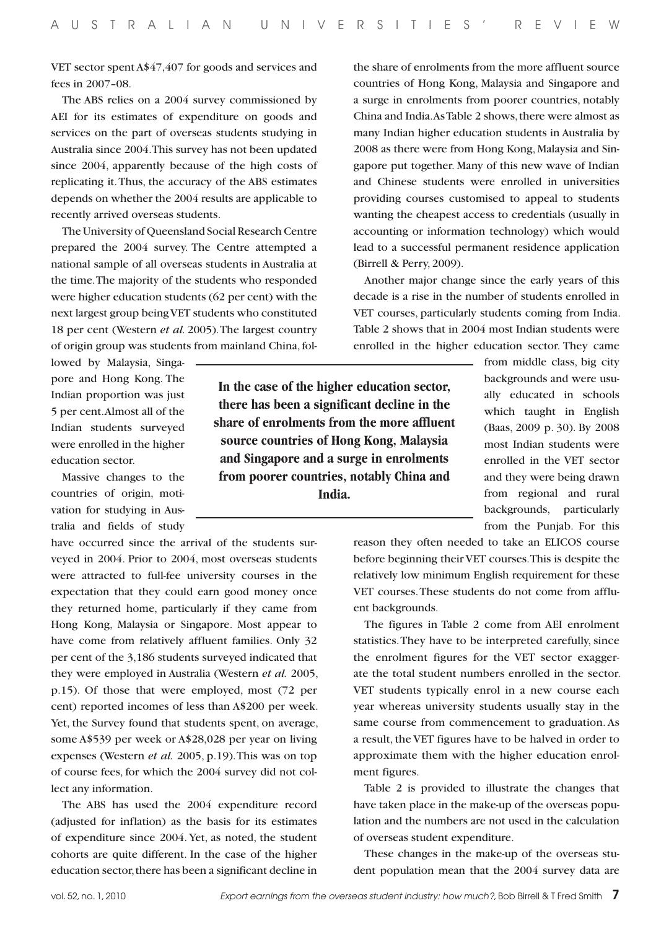VET sector spent A\$47,407 for goods and services and fees in 2007–08.

The ABS relies on a 2004 survey commissioned by AEI for its estimates of expenditure on goods and services on the part of overseas students studying in Australia since 2004. This survey has not been updated since 2004, apparently because of the high costs of replicating it. Thus, the accuracy of the ABS estimates depends on whether the 2004 results are applicable to recently arrived overseas students.

The University of Queensland Social Research Centre prepared the 2004 survey. The Centre attempted a national sample of all overseas students in Australia at the time. The majority of the students who responded were higher education students (62 per cent) with the next largest group being VET students who constituted 18 per cent (Western *et al.* 2005). The largest country of origin group was students from mainland China, fol-

lowed by Malaysia, Singapore and Hong Kong. The Indian proportion was just 5 per cent. Almost all of the Indian students surveyed were enrolled in the higher education sector.

Massive changes to the countries of origin, motivation for studying in Australia and fields of study

have occurred since the arrival of the students surveyed in 2004. Prior to 2004, most overseas students were attracted to full-fee university courses in the expectation that they could earn good money once they returned home, particularly if they came from Hong Kong, Malaysia or Singapore. Most appear to have come from relatively affluent families. Only 32 per cent of the 3,186 students surveyed indicated that they were employed in Australia (Western *et al.* 2005, p.15). Of those that were employed, most (72 per cent) reported incomes of less than A\$200 per week. Yet, the Survey found that students spent, on average, some A\$539 per week or A\$28,028 per year on living expenses (Western *et al.* 2005, p.19). This was on top of course fees, for which the 2004 survey did not collect any information.

The ABS has used the 2004 expenditure record (adjusted for inflation) as the basis for its estimates of expenditure since 2004. Yet, as noted, the student cohorts are quite different. In the case of the higher education sector, there has been a significant decline in

the share of enrolments from the more affluent source countries of Hong Kong, Malaysia and Singapore and a surge in enrolments from poorer countries, notably China and India. As Table 2 shows, there were almost as many Indian higher education students in Australia by 2008 as there were from Hong Kong, Malaysia and Singapore put together. Many of this new wave of Indian and Chinese students were enrolled in universities providing courses customised to appeal to students wanting the cheapest access to credentials (usually in accounting or information technology) which would lead to a successful permanent residence application (Birrell & Perry, 2009).

Another major change since the early years of this decade is a rise in the number of students enrolled in VET courses, particularly students coming from India. Table 2 shows that in 2004 most Indian students were enrolled in the higher education sector. They came

**In the case of the higher education sector, there has been a significant decline in the share of enrolments from the more affluent source countries of Hong Kong, Malaysia and Singapore and a surge in enrolments from poorer countries, notably China and India.**

from middle class, big city backgrounds and were usually educated in schools which taught in English (Baas, 2009 p. 30). By 2008 most Indian students were enrolled in the VET sector and they were being drawn from regional and rural backgrounds, particularly from the Punjab. For this

reason they often needed to take an ELICOS course before beginning their VET courses. This is despite the relatively low minimum English requirement for these VET courses. These students do not come from affluent backgrounds.

The figures in Table 2 come from AEI enrolment statistics. They have to be interpreted carefully, since the enrolment figures for the VET sector exaggerate the total student numbers enrolled in the sector. VET students typically enrol in a new course each year whereas university students usually stay in the same course from commencement to graduation. As a result, the VET figures have to be halved in order to approximate them with the higher education enrolment figures.

Table 2 is provided to illustrate the changes that have taken place in the make-up of the overseas population and the numbers are not used in the calculation of overseas student expenditure.

These changes in the make-up of the overseas student population mean that the 2004 survey data are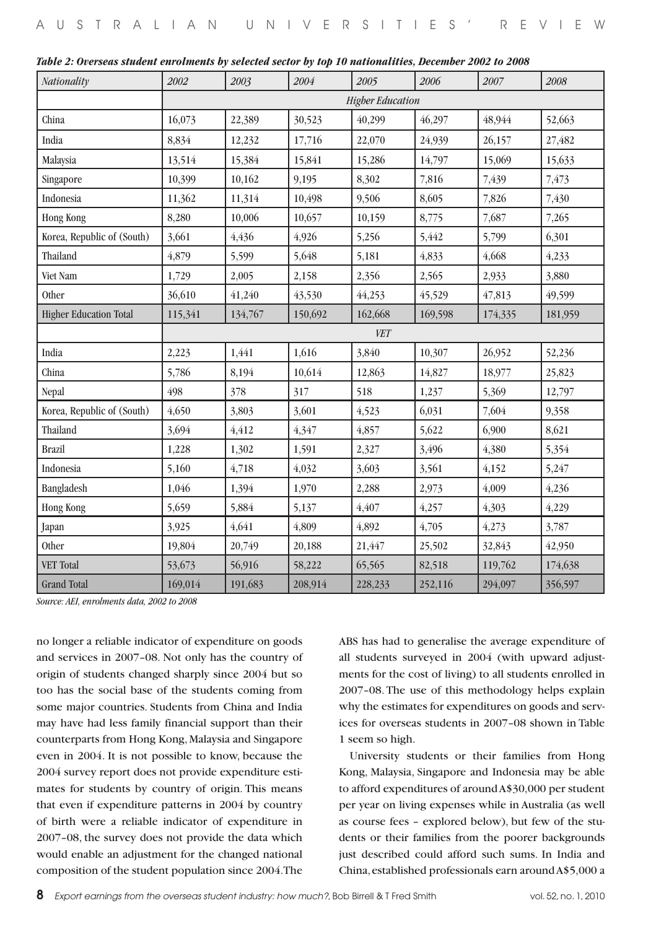|  | Table 2: Overseas student enrolments by selected sector by top 10 nationalities, December 2002 to 2008 |  |  |  |
|--|--------------------------------------------------------------------------------------------------------|--|--|--|
|--|--------------------------------------------------------------------------------------------------------|--|--|--|

| Nationality                   | 2002                    | 2003       | 2004    | 2005    | 2006    | $2007\,$ | 2008    |  |
|-------------------------------|-------------------------|------------|---------|---------|---------|----------|---------|--|
|                               | <b>Higher Education</b> |            |         |         |         |          |         |  |
| China                         | 16,073                  | 22,389     | 30,523  | 40,299  | 46,297  | 48,944   | 52,663  |  |
| India                         | 8,834                   | 12,232     | 17,716  | 22,070  | 24,939  | 26,157   | 27,482  |  |
| Malaysia                      | 13,514                  | 15,384     | 15,841  | 15,286  | 14,797  | 15,069   | 15,633  |  |
| Singapore                     | 10,399                  | 10,162     | 9,195   | 8,302   | 7,816   | 7,439    | 7,473   |  |
| Indonesia                     | 11,362                  | 11,314     | 10,498  | 9,506   | 8,605   | 7,826    | 7,430   |  |
| Hong Kong                     | 8,280                   | 10,006     | 10,657  | 10,159  | 8,775   | 7,687    | 7,265   |  |
| Korea, Republic of (South)    | 3,661                   | 4,436      | 4,926   | 5,256   | 5,442   | 5,799    | 6,301   |  |
| Thailand                      | 4,879                   | 5,599      | 5,648   | 5,181   | 4,833   | 4,668    | 4,233   |  |
| Viet Nam                      | 1,729                   | 2,005      | 2,158   | 2,356   | 2,565   | 2,933    | 3,880   |  |
| Other                         | 36,610                  | 41,240     | 43,530  | 44,253  | 45,529  | 47,813   | 49,599  |  |
| <b>Higher Education Total</b> | 115,341                 | 134,767    | 150,692 | 162,668 | 169,598 | 174,335  | 181,959 |  |
|                               |                         | <b>VET</b> |         |         |         |          |         |  |
| India                         | 2,223                   | 1,441      | 1,616   | 3,840   | 10,307  | 26,952   | 52,236  |  |
| China                         | 5,786                   | 8,194      | 10,614  | 12,863  | 14,827  | 18,977   | 25,823  |  |
| Nepal                         | 498                     | 378        | 317     | 518     | 1,237   | 5,369    | 12,797  |  |
| Korea, Republic of (South)    | 4,650                   | 3,803      | 3,601   | 4,523   | 6,031   | 7,604    | 9,358   |  |
| Thailand                      | 3,694                   | 4,412      | 4,347   | 4,857   | 5,622   | 6,900    | 8,621   |  |
| <b>Brazil</b>                 | 1,228                   | 1,302      | 1,591   | 2,327   | 3,496   | 4,380    | 5,354   |  |
| Indonesia                     | 5,160                   | 4,718      | 4,032   | 3,603   | 3,561   | 4,152    | 5,247   |  |
| Bangladesh                    | 1,046                   | 1,394      | 1,970   | 2,288   | 2,973   | 4,009    | 4,236   |  |
| Hong Kong                     | 5,659                   | 5,884      | 5,137   | 4,407   | 4,257   | 4,303    | 4,229   |  |
| Japan                         | 3,925                   | 4,641      | 4,809   | 4,892   | 4,705   | 4,273    | 3,787   |  |
| Other                         | 19,804                  | 20,749     | 20,188  | 21,447  | 25,502  | 32,843   | 42,950  |  |
| VET Total                     | 53,673                  | 56,916     | 58,222  | 65,565  | 82,518  | 119,762  | 174,638 |  |
| <b>Grand Total</b>            | 169,014                 | 191,683    | 208,914 | 228,233 | 252,116 | 294,097  | 356,597 |  |

*Source: AEI, enrolments data, 2002 to 2008*

no longer a reliable indicator of expenditure on goods and services in 2007–08. Not only has the country of origin of students changed sharply since 2004 but so too has the social base of the students coming from some major countries. Students from China and India may have had less family financial support than their counterparts from Hong Kong, Malaysia and Singapore even in 2004. It is not possible to know, because the 2004 survey report does not provide expenditure estimates for students by country of origin. This means that even if expenditure patterns in 2004 by country of birth were a reliable indicator of expenditure in 2007–08, the survey does not provide the data which would enable an adjustment for the changed national composition of the student population since 2004. The

ABS has had to generalise the average expenditure of all students surveyed in 2004 (with upward adjustments for the cost of living) to all students enrolled in 2007–08. The use of this methodology helps explain why the estimates for expenditures on goods and services for overseas students in 2007–08 shown in Table 1 seem so high.

University students or their families from Hong Kong, Malaysia, Singapore and Indonesia may be able to afford expenditures of around A\$30,000 per student per year on living expenses while in Australia (as well as course fees – explored below), but few of the students or their families from the poorer backgrounds just described could afford such sums. In India and China, established professionals earn around A\$5,000 a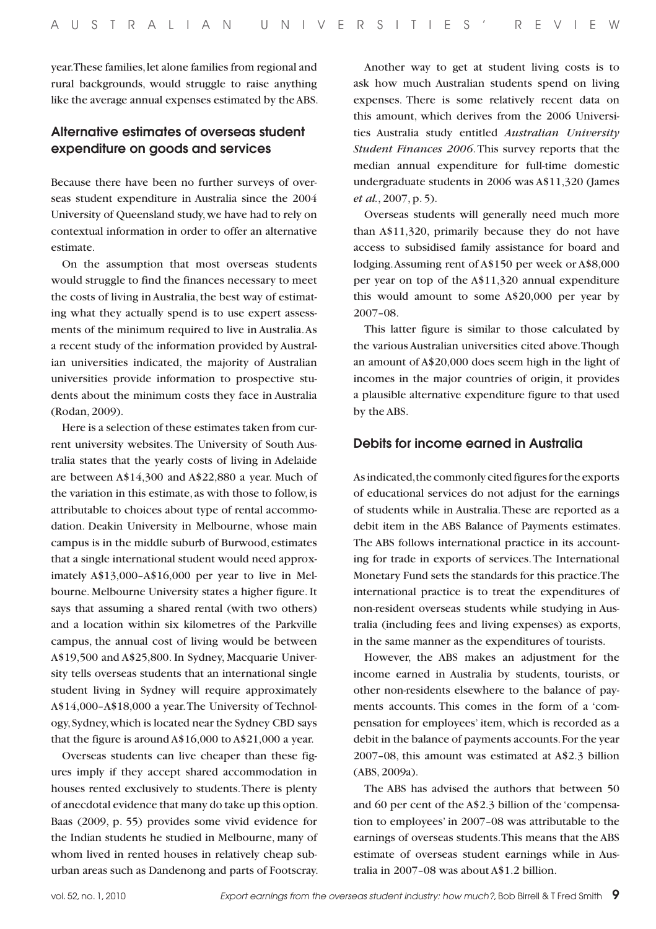year. These families, let alone families from regional and rural backgrounds, would struggle to raise anything like the average annual expenses estimated by the ABS.

## Alternative estimates of overseas student expenditure on goods and services

Because there have been no further surveys of overseas student expenditure in Australia since the 2004 University of Queensland study, we have had to rely on contextual information in order to offer an alternative estimate.

On the assumption that most overseas students would struggle to find the finances necessary to meet the costs of living in Australia, the best way of estimating what they actually spend is to use expert assessments of the minimum required to live in Australia. As a recent study of the information provided by Australian universities indicated, the majority of Australian universities provide information to prospective students about the minimum costs they face in Australia (Rodan, 2009).

Here is a selection of these estimates taken from current university websites. The University of South Australia states that the yearly costs of living in Adelaide are between A\$14,300 and A\$22,880 a year. Much of the variation in this estimate, as with those to follow, is attributable to choices about type of rental accommodation. Deakin University in Melbourne, whose main campus is in the middle suburb of Burwood, estimates that a single international student would need approximately A\$13,000–A\$16,000 per year to live in Melbourne. Melbourne University states a higher figure. It says that assuming a shared rental (with two others) and a location within six kilometres of the Parkville campus, the annual cost of living would be between A\$19,500 and A\$25,800. In Sydney, Macquarie University tells overseas students that an international single student living in Sydney will require approximately A\$14,000–A\$18,000 a year. The University of Technology, Sydney, which is located near the Sydney CBD says that the figure is around A\$16,000 to A\$21,000 a year.

Overseas students can live cheaper than these figures imply if they accept shared accommodation in houses rented exclusively to students. There is plenty of anecdotal evidence that many do take up this option. Baas (2009, p. 55) provides some vivid evidence for the Indian students he studied in Melbourne, many of whom lived in rented houses in relatively cheap suburban areas such as Dandenong and parts of Footscray.

Another way to get at student living costs is to ask how much Australian students spend on living expenses. There is some relatively recent data on this amount, which derives from the 2006 Universities Australia study entitled *Australian University Student Finances 2006*. This survey reports that the median annual expenditure for full-time domestic undergraduate students in 2006 was A\$11,320 (James *et al.*, 2007, p. 5).

Overseas students will generally need much more than A\$11,320, primarily because they do not have access to subsidised family assistance for board and lodging. Assuming rent of A\$150 per week or A\$8,000 per year on top of the A\$11,320 annual expenditure this would amount to some A\$20,000 per year by 2007–08.

This latter figure is similar to those calculated by the various Australian universities cited above. Though an amount of A\$20,000 does seem high in the light of incomes in the major countries of origin, it provides a plausible alternative expenditure figure to that used by the ABS.

#### Debits for income earned in Australia

As indicated, the commonly cited figures for the exports of educational services do not adjust for the earnings of students while in Australia. These are reported as a debit item in the ABS Balance of Payments estimates. The ABS follows international practice in its accounting for trade in exports of services. The International Monetary Fund sets the standards for this practice. The international practice is to treat the expenditures of non-resident overseas students while studying in Australia (including fees and living expenses) as exports, in the same manner as the expenditures of tourists.

However, the ABS makes an adjustment for the income earned in Australia by students, tourists, or other non-residents elsewhere to the balance of payments accounts. This comes in the form of a 'compensation for employees' item, which is recorded as a debit in the balance of payments accounts. For the year 2007–08, this amount was estimated at A\$2.3 billion (ABS, 2009a).

The ABS has advised the authors that between 50 and 60 per cent of the A\$2.3 billion of the 'compensation to employees' in 2007–08 was attributable to the earnings of overseas students. This means that the ABS estimate of overseas student earnings while in Australia in 2007–08 was about A\$1.2 billion.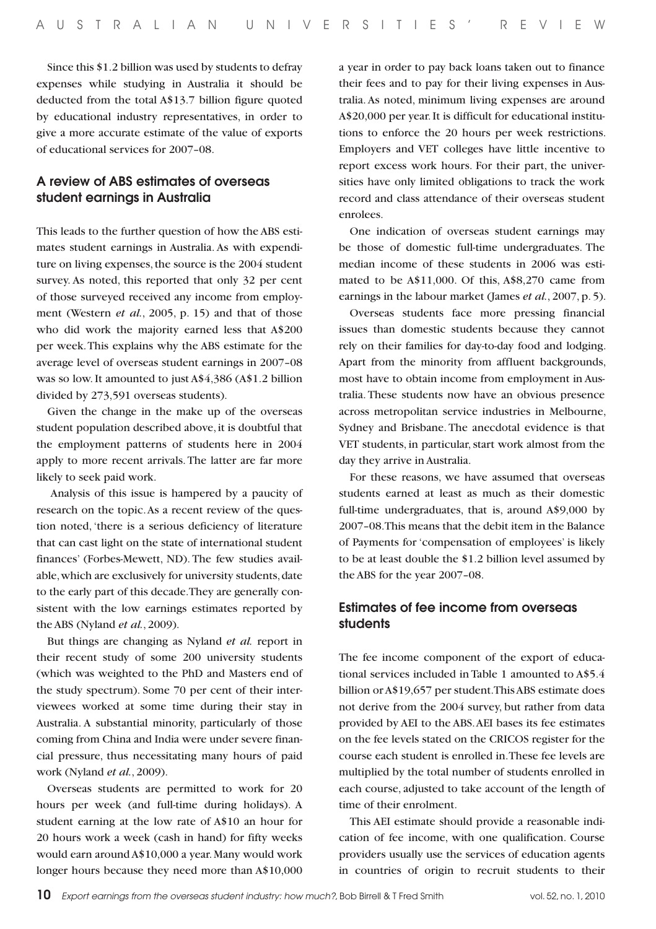Since this \$1.2 billion was used by students to defray expenses while studying in Australia it should be deducted from the total A\$13.7 billion figure quoted by educational industry representatives, in order to give a more accurate estimate of the value of exports of educational services for 2007–08.

## A review of ABS estimates of overseas student earnings in Australia

This leads to the further question of how the ABS estimates student earnings in Australia. As with expenditure on living expenses, the source is the 2004 student survey. As noted, this reported that only 32 per cent of those surveyed received any income from employment (Western *et al.*, 2005, p. 15) and that of those who did work the majority earned less that A\$200 per week. This explains why the ABS estimate for the average level of overseas student earnings in 2007–08 was so low. It amounted to just A\$4,386 (A\$1.2 billion divided by 273,591 overseas students).

Given the change in the make up of the overseas student population described above, it is doubtful that the employment patterns of students here in 2004 apply to more recent arrivals. The latter are far more likely to seek paid work.

 Analysis of this issue is hampered by a paucity of research on the topic. As a recent review of the question noted, 'there is a serious deficiency of literature that can cast light on the state of international student finances' (Forbes-Mewett, ND). The few studies available, which are exclusively for university students, date to the early part of this decade. They are generally consistent with the low earnings estimates reported by the ABS (Nyland *et al.*, 2009).

But things are changing as Nyland *et al.* report in their recent study of some 200 university students (which was weighted to the PhD and Masters end of the study spectrum). Some 70 per cent of their interviewees worked at some time during their stay in Australia. A substantial minority, particularly of those coming from China and India were under severe financial pressure, thus necessitating many hours of paid work (Nyland *et al.*, 2009).

Overseas students are permitted to work for 20 hours per week (and full-time during holidays). A student earning at the low rate of A\$10 an hour for 20 hours work a week (cash in hand) for fifty weeks would earn around A\$10,000 a year. Many would work longer hours because they need more than A\$10,000

a year in order to pay back loans taken out to finance their fees and to pay for their living expenses in Australia. As noted, minimum living expenses are around A\$20,000 per year. It is difficult for educational institutions to enforce the 20 hours per week restrictions. Employers and VET colleges have little incentive to report excess work hours. For their part, the universities have only limited obligations to track the work record and class attendance of their overseas student enrolees.

One indication of overseas student earnings may be those of domestic full-time undergraduates. The median income of these students in 2006 was estimated to be A\$11,000. Of this, A\$8,270 came from earnings in the labour market (James *et al.*, 2007, p. 5).

Overseas students face more pressing financial issues than domestic students because they cannot rely on their families for day-to-day food and lodging. Apart from the minority from affluent backgrounds, most have to obtain income from employment in Australia. These students now have an obvious presence across metropolitan service industries in Melbourne, Sydney and Brisbane. The anecdotal evidence is that VET students, in particular, start work almost from the day they arrive in Australia.

For these reasons, we have assumed that overseas students earned at least as much as their domestic full-time undergraduates, that is, around A\$9,000 by 2007–08. This means that the debit item in the Balance of Payments for 'compensation of employees' is likely to be at least double the \$1.2 billion level assumed by the ABS for the year 2007–08.

## Estimates of fee income from overseas students

The fee income component of the export of educational services included in Table 1 amounted to A\$5.4 billion or A\$19,657 per student. This ABS estimate does not derive from the 2004 survey, but rather from data provided by AEI to the ABS. AEI bases its fee estimates on the fee levels stated on the CRICOS register for the course each student is enrolled in. These fee levels are multiplied by the total number of students enrolled in each course, adjusted to take account of the length of time of their enrolment.

This AEI estimate should provide a reasonable indication of fee income, with one qualification. Course providers usually use the services of education agents in countries of origin to recruit students to their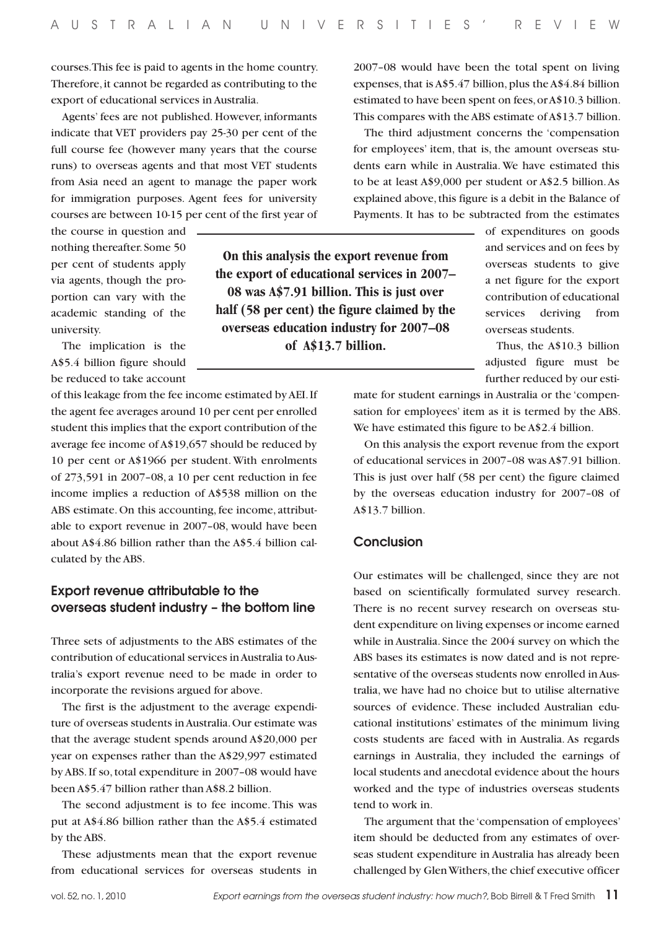**On this analysis the export revenue from the export of educational services in 2007– 08 was A\$7.91 billion. This is just over half (58 per cent) the figure claimed by the overseas education industry for 2007–08 of A\$13.7 billion.**

courses. This fee is paid to agents in the home country. Therefore, it cannot be regarded as contributing to the export of educational services in Australia.

Agents' fees are not published. However, informants indicate that VET providers pay 25-30 per cent of the full course fee (however many years that the course runs) to overseas agents and that most VET students from Asia need an agent to manage the paper work for immigration purposes. Agent fees for university courses are between 10-15 per cent of the first year of

the course in question and nothing thereafter. Some 50 per cent of students apply via agents, though the proportion can vary with the academic standing of the university.

The implication is the A\$5.4 billion figure should be reduced to take account

of this leakage from the fee income estimated by AEI. If the agent fee averages around 10 per cent per enrolled student this implies that the export contribution of the average fee income of A\$19,657 should be reduced by 10 per cent or A\$1966 per student. With enrolments of 273,591 in 2007–08, a 10 per cent reduction in fee income implies a reduction of A\$538 million on the ABS estimate. On this accounting, fee income, attributable to export revenue in 2007–08, would have been about A\$4.86 billion rather than the A\$5.4 billion calculated by the ABS.

#### Export revenue attributable to the overseas student industry – the bottom line

Three sets of adjustments to the ABS estimates of the contribution of educational services in Australia to Australia's export revenue need to be made in order to incorporate the revisions argued for above.

The first is the adjustment to the average expenditure of overseas students in Australia. Our estimate was that the average student spends around A\$20,000 per year on expenses rather than the A\$29,997 estimated by ABS. If so, total expenditure in 2007–08 would have been A\$5.47 billion rather than A\$8.2 billion.

The second adjustment is to fee income. This was put at A\$4.86 billion rather than the A\$5.4 estimated by the ABS.

These adjustments mean that the export revenue from educational services for overseas students in

2007–08 would have been the total spent on living expenses, that is A\$5.47 billion, plus the A\$4.84 billion estimated to have been spent on fees, or A\$10.3 billion. This compares with the ABS estimate of A\$13.7 billion.

The third adjustment concerns the 'compensation for employees' item, that is, the amount overseas students earn while in Australia. We have estimated this to be at least A\$9,000 per student or A\$2.5 billion. As explained above, this figure is a debit in the Balance of Payments. It has to be subtracted from the estimates

> of expenditures on goods and services and on fees by overseas students to give a net figure for the export contribution of educational services deriving from overseas students.

> Thus, the A\$10.3 billion adjusted figure must be further reduced by our esti-

mate for student earnings in Australia or the 'compensation for employees' item as it is termed by the ABS. We have estimated this figure to be A\$2.4 billion.

On this analysis the export revenue from the export of educational services in 2007–08 was A\$7.91 billion. This is just over half (58 per cent) the figure claimed by the overseas education industry for 2007–08 of A\$13.7 billion.

#### **Conclusion**

Our estimates will be challenged, since they are not based on scientifically formulated survey research. There is no recent survey research on overseas student expenditure on living expenses or income earned while in Australia. Since the 2004 survey on which the ABS bases its estimates is now dated and is not representative of the overseas students now enrolled in Australia, we have had no choice but to utilise alternative sources of evidence. These included Australian educational institutions' estimates of the minimum living costs students are faced with in Australia. As regards earnings in Australia, they included the earnings of local students and anecdotal evidence about the hours worked and the type of industries overseas students tend to work in.

The argument that the 'compensation of employees' item should be deducted from any estimates of overseas student expenditure in Australia has already been challenged by Glen Withers, the chief executive officer